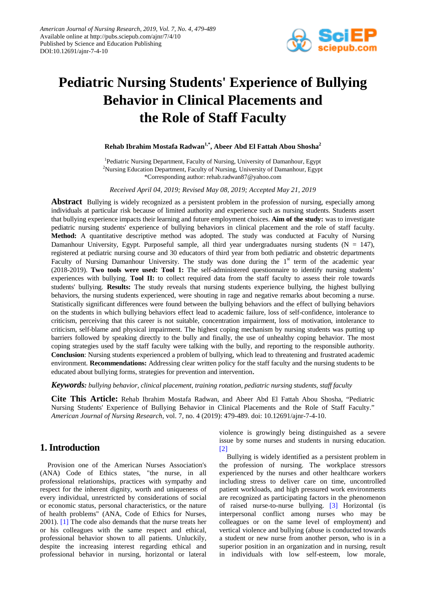

# **Pediatric Nursing Students' Experience of Bullying Behavior in Clinical Placements and the Role of Staff Faculty**

# **Rehab Ibrahim Mostafa Radwan1,\* , Abeer Abd El Fattah Abou Shosha<sup>2</sup>**

<sup>1</sup>Pediatric Nursing Department, Faculty of Nursing, University of Damanhour, Egypt <sup>2</sup>Nursing Education Department, Faculty of Nursing, University of Damanhour, Egypt \*Corresponding author: rehab.radwan87@yahoo.com

*Received April 04, 2019; Revised May 08, 2019; Accepted May 21, 2019*

**Abstract** Bullying is widely recognized as a persistent problem in the profession of nursing, especially among individuals at particular risk because of limited authority and experience such as nursing students. Students assert that bullying experience impacts their learning and future employment choices. **Aim of the study:** was to investigate pediatric nursing students' experience of bullying behaviors in clinical placement and the role of staff faculty. **Method:** A quantitative descriptive method was adopted. The study was conducted at Faculty of Nursing Damanhour University, Egypt. Purposeful sample, all third year undergraduates nursing students  $(N = 147)$ , registered at pediatric nursing course and 30 educators of third year from both pediatric and obstetric departments Faculty of Nursing Damanhour University. The study was done during the 1<sup>st</sup> term of the academic year (2018-2019). **Two tools were used: Tool 1:** The self-administered questionnaire to identify nursing students' experiences with bullying. **Tool II:** to collect required data from the staff faculty to assess their role towards students' bullying. **Results:** The study reveals that nursing students experience bullying, the highest bullying behaviors, the nursing students experienced, were shouting in rage and negative remarks about becoming a nurse. Statistically significant differences were found between the bullying behaviors and the effect of bullying behaviors on the students in which bullying behaviors effect lead to academic failure, loss of self-confidence, intolerance to criticism, perceiving that this career is not suitable, concentration impairment, loss of motivation, intolerance to criticism, self-blame and physical impairment. The highest coping mechanism by nursing students was putting up barriers followed by speaking directly to the bully and finally, the use of unhealthy coping behavior. The most coping strategies used by the staff faculty were talking with the bully, and reporting to the responsible authority. **Conclusion**: Nursing students experienced a problem of bullying, which lead to threatening and frustrated academic environment. **Recommendations:** Addressing clear written policy for the staff faculty and the nursing students to be educated about bullying forms, strategies for prevention and intervention.

*Keywords: bullying behavior, clinical placement, training rotation, pediatric nursing students, staff faculty*

**Cite This Article:** Rehab Ibrahim Mostafa Radwan, and Abeer Abd El Fattah Abou Shosha, "Pediatric Nursing Students' Experience of Bullying Behavior in Clinical Placements and the Role of Staff Faculty." *American Journal of Nursing Research*, vol. 7, no. 4 (2019): 479-489. doi: 10.12691/ajnr-7-4-10.

# **1. Introduction**

Provision one of the American Nurses Association's (ANA) Code of Ethics states, "the nurse, in all professional relationships, practices with sympathy and respect for the inherent dignity, worth and uniqueness of every individual, unrestricted by considerations of social or economic status, personal characteristics, or the nature of health problems" (ANA, Code of Ethics for Nurses, 2001). [\[1\]](#page-9-0) The code also demands that the nurse treats her or his colleagues with the same respect and ethical, professional behavior shown to all patients. Unluckily, despite the increasing interest regarding ethical and professional behavior in nursing, horizontal or lateral violence is growingly being distinguished as a severe issue by some nurses and students in nursing education. [\[2\]](#page-9-1)

Bullying is widely identified as a persistent problem in the profession of nursing. The workplace stressors experienced by the nurses and other healthcare workers including stress to deliver care on time, uncontrolled patient workloads, and high pressured work environments are recognized as participating factors in the phenomenon of raised nurse-to-nurse bullying. [\[3\]](#page-9-2) Horizontal (is interpersonal conflict among nurses who may be colleagues or on the same level of employment) and vertical violence and bullying (abuse is conducted towards a student or new nurse from another person, who is in a superior position in an organization and in nursing, result in individuals with low self-esteem, low morale,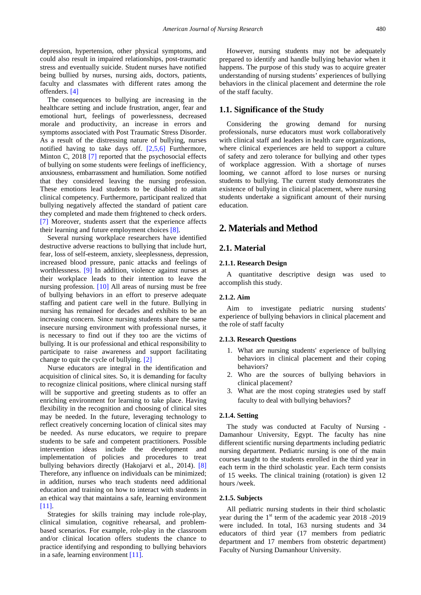depression, hypertension, other physical symptoms, and could also result in impaired relationships, post-traumatic stress and eventually suicide. Student nurses have notified being bullied by nurses, nursing aids, doctors, patients, faculty and classmates with different rates among the offenders. [\[4\]](#page-9-3)

The consequences to bullying are increasing in the healthcare setting and include frustration, anger, fear and emotional hurt, feelings of powerlessness, decreased morale and productivity, an increase in errors and symptoms associated with Post Traumatic Stress Disorder. As a result of the distressing nature of bullying, nurses notified having to take days off. [\[2,5,6\]](#page-9-1) Furthermore, Minton C, 2018 [\[7\]](#page-10-0) reported that the psychosocial effects of bullying on some students were feelings of inefficiency, anxiousness, embarrassment and humiliation. Some notified that they considered leaving the nursing profession. These emotions lead students to be disabled to attain clinical competency. Furthermore, participant realized that bullying negatively affected the standard of patient care they completed and made them frightened to check orders. [\[7\]](#page-10-0) Moreover, students assert that the experience affects their learning and future employment choices [\[8\].](#page-10-1)

Several nursing workplace researchers have identified destructive adverse reactions to bullying that include hurt, fear, loss of self-esteem, anxiety, sleeplessness, depression, increased blood pressure, panic attacks and feelings of worthlessness. [\[9\]](#page-10-2) In addition, violence against nurses at their workplace leads to their intention to leave the nursing profession. [\[10\]](#page-10-3) All areas of nursing must be free of bullying behaviors in an effort to preserve adequate staffing and patient care well in the future. Bullying in nursing has remained for decades and exhibits to be an increasing concern. Since nursing students share the same insecure nursing environment with professional nurses, it is necessary to find out if they too are the victims of bullying. It is our professional and ethical responsibility to participate to raise awareness and support facilitating change to quit the cycle of bullying. [\[2\]](#page-9-1)

Nurse educators are integral in the identification and acquisition of clinical sites. So, it is demanding for faculty to recognize clinical positions, where clinical nursing staff will be supportive and greeting students as to offer an enriching environment for learning to take place. Having flexibility in the recognition and choosing of clinical sites may be needed. In the future, leveraging technology to reflect creatively concerning location of clinical sites may be needed. As nurse educators, we require to prepare students to be safe and competent practitioners. Possible intervention ideas include the development and implementation of policies and procedures to treat bullying behaviors directly (Hakojarvi et al., 2014). [\[8\]](#page-10-1) Therefore, any influence on individuals can be minimized; in addition, nurses who teach students need additional education and training on how to interact with students in an ethical way that maintains a safe, learning environment [\[11\].](#page-10-4)

Strategies for skills training may include role-play, clinical simulation, cognitive rehearsal, and problembased scenarios. For example, role-play in the classroom and/or clinical location offers students the chance to practice identifying and responding to bullying behaviors in a safe, learning environment [\[11\].](#page-10-4)

However, nursing students may not be adequately prepared to identify and handle bullying behavior when it happens. The purpose of this study was to acquire greater understanding of nursing students' experiences of bullying behaviors in the clinical placement and determine the role of the staff faculty.

## **1.1. Significance of the Study**

Considering the growing demand for nursing professionals, nurse educators must work collaboratively with clinical staff and leaders in health care organizations, where clinical experiences are held to support a culture of safety and zero tolerance for bullying and other types of workplace aggression. With a shortage of nurses looming, we cannot afford to lose nurses or nursing students to bullying. The current study demonstrates the existence of bullying in clinical placement, where nursing students undertake a significant amount of their nursing education.

# **2. Materials and Method**

## **2.1. Material**

#### **2.1.1. Research Design**

A quantitative descriptive design was used to accomplish this study.

## **2.1.2. Aim**

Aim to investigate pediatric nursing students' experience of bullying behaviors in clinical placement and the role of staff faculty

#### **2.1.3. Research Questions**

- 1. What are nursing students' experience of bullying behaviors in clinical placement and their coping behaviors?
- 2. Who are the sources of bullying behaviors in clinical placement?
- 3. What are the most coping strategies used by staff faculty to deal with bullying behaviors?

#### **2.1.4. Setting**

The study was conducted at Faculty of Nursing - Damanhour University, Egypt. The faculty has nine different scientific nursing departments including pediatric nursing department. Pediatric nursing is one of the main courses taught to the students enrolled in the third year in each term in the third scholastic year. Each term consists of 15 weeks. The clinical training (rotation) is given 12 hours /week.

#### **2.1.5. Subjects**

All pediatric nursing students in their third scholastic year during the  $1<sup>st</sup>$  term of the academic year 2018 -2019 were included. In total, 163 nursing students and 34 educators of third year (17 members from pediatric department and 17 members from obstetric department) Faculty of Nursing Damanhour University.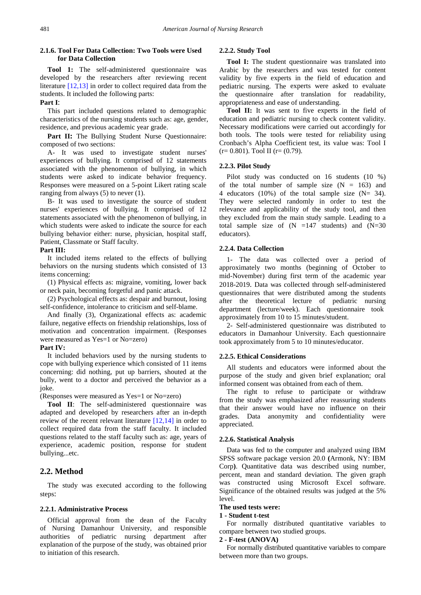## **2.1.6. Tool For Data Collection: Two Tools were Used for Data Collection**

**Tool 1:** The self-administered questionnaire was developed by the researchers after reviewing recent literature [\[12,13\]](#page-10-5) in order to collect required data from the students. It included the following parts:

#### **Part I**:

This part included questions related to demographic characteristics of the nursing students such as: age, gender, residence, and previous academic year grade.

Part II: The Bullying Student Nurse Questionnaire: composed of two sections:

A- It was used to investigate student nurses' experiences of bullying. It comprised of 12 statements associated with the phenomenon of bullying, in which students were asked to indicate behavior frequency. Responses were measured on a 5-point Likert rating scale ranging from always (5) to never (1).

B- It was used to investigate the source of student nurses' experiences of bullying. It comprised of 12 statements associated with the phenomenon of bullying, in which students were asked to indicate the source for each bullying behavior either: nurse, physician, hospital staff, Patient, Classmate or Staff faculty.

#### **Part III:**

It included items related to the effects of bullying behaviors on the nursing students which consisted of 13 items concerning:

(1) Physical effects as: migraine, vomiting, lower back or neck pain, becoming forgetful and panic attack.

(2) Psychological effects as: despair and burnout, losing self-confidence, intolerance to criticism and self-blame.

And finally (3), Organizational effects as: academic failure, negative effects on friendship relationships, loss of motivation and concentration impairment. (Responses were measured as Yes=1 or No=zero)

#### **Part IV:**

It included behaviors used by the nursing students to cope with bullying experience which consisted of 11 items concerning: did nothing, put up barriers, shouted at the bully, went to a doctor and perceived the behavior as a joke.

(Responses were measured as Yes=1 or No=zero)

**Tool II**: The self-administered questionnaire was adapted and developed by researchers after an in-depth review of the recent relevant literature [\[12,14\]](#page-10-5) in order to collect required data from the staff faculty. It included questions related to the staff faculty such as: age, years of experience, academic position, response for student bullying...etc.

## **2.2. Method**

The study was executed according to the following steps:

#### **2.2.1. Administrative Process**

Official approval from the dean of the Faculty of Nursing Damanhour University, and responsible authorities of pediatric nursing department after explanation of the purpose of the study, was obtained prior to initiation of this research.

#### **2.2.2. Study Tool**

**Tool I:** The student questionnaire was translated into Arabic by the researchers and was tested for content validity by five experts in the field of education and pediatric nursing. The experts were asked to evaluate the questionnaire after translation for readability, appropriateness and ease of understanding.

**Tool II:** It was sent to five experts in the field of education and pediatric nursing to check content validity. Necessary modifications were carried out accordingly for both tools. The tools were tested for reliability using Cronbach's Alpha Coefficient test, its value was: Tool I  $(r= 0.801)$ . Tool II  $(r=(0.79)$ .

#### **2.2.3. Pilot Study**

Pilot study was conducted on 16 students (10 %) of the total number of sample size  $(N = 163)$  and 4 educators (10%) of the total sample size  $(N= 34)$ . They were selected randomly in order to test the relevance and applicability of the study tool, and then they excluded from the main study sample. Leading to a total sample size of  $(N = 147$  students) and  $(N = 30$ educators).

#### **2.2.4. Data Collection**

1- The data was collected over a period of approximately two months (beginning of October to mid-November) during first term of the academic year 2018-2019. Data was collected through self-administered questionnaires that were distributed among the students after the theoretical lecture of pediatric nursing department (lecture/week). Each questionnaire took approximately from 10 to 15 minutes/student.

2- Self-administered questionnaire was distributed to educators in Damanhour University. Each questionnaire took approximately from 5 to 10 minutes/educator.

#### **2.2.5. Ethical Considerations**

All students and educators were informed about the purpose of the study and given brief explanation; oral informed consent was obtained from each of them.

The right to refuse to participate or withdraw from the study was emphasized after reassuring students that their answer would have no influence on their grades. Data anonymity and confidentiality were appreciated.

#### **2.2.6. Statistical Analysis**

Data was fed to the computer and analyzed using IBM SPSS software package version 20.0 **(**Armonk, NY: IBM Corp**)**. Quantitative data was described using number, percent, mean and standard deviation. The given graph was constructed using Microsoft Excel software. Significance of the obtained results was judged at the 5% level.

# **The used tests were:**

## **1 - Student t-test**

For normally distributed quantitative variables to compare between two studied groups.

## **2 - F-test (ANOVA)**

For normally distributed quantitative variables to compare between more than two groups.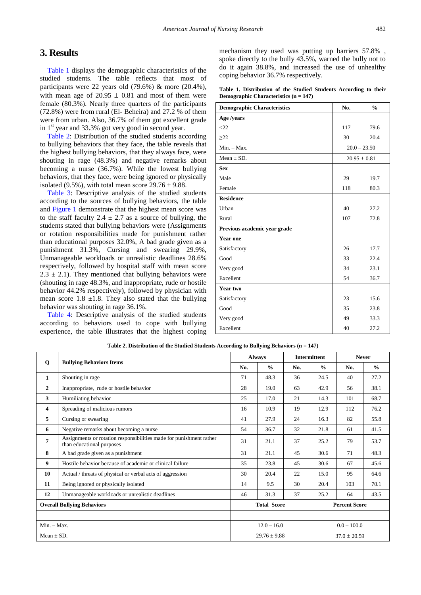# **3. Results**

[Table 1](#page-3-0) displays the demographic characteristics of the studied students. The table reflects that most of participants were 22 years old (79.6%) & more (20.4%), with mean age of  $20.95 \pm 0.81$  and most of them were female (80.3%). Nearly three quarters of the participants (72.8%) were from rural (El- Beheira) and 27.2 % of them were from urban. Also, 36.7% of them got excellent grade in  $1<sup>st</sup>$  year and 33.3% got very good in second year.

[Table 2:](#page-3-1) Distribution of the studied students according to bullying behaviors that they face, the table reveals that the highest bullying behaviors, that they always face, were shouting in rage (48.3%) and negative remarks about becoming a nurse (36.7%). While the lowest bullying behaviors, that they face, were being ignored or physically isolated (9.5%), with total mean score  $29.76 \pm 9.88$ .

[Table 3:](#page-4-0) Descriptive analysis of the studied students according to the sources of bullying behaviors, the table and [Figure 1](#page-4-1) demonstrate that the highest mean score was to the staff faculty  $2.4 \pm 2.7$  as a source of bullying, the students stated that bullying behaviors were (Assignments or rotation responsibilities made for punishment rather than educational purposes 32.0%, A bad grade given as a punishment 31.3%, Cursing and swearing 29.9%, Unmanageable workloads or unrealistic deadlines 28.6% respectively, followed by hospital staff with mean score  $2.3 \pm 2.1$ ). They mentioned that bullying behaviors were (shouting in rage 48.3%, and inappropriate, rude or hostile behavior 44.2% respectively), followed by physician with mean score 1.8  $\pm$ 1.8. They also stated that the bullying behavior was shouting in rage 36.1%.

[Table 4:](#page-4-2) Descriptive analysis of the studied students according to behaviors used to cope with bullying experience, the table illustrates that the highest coping mechanism they used was putting up barriers 57.8% , spoke directly to the bully 43.5%, warned the bully not to do it again 38.8%, and increased the use of unhealthy coping behavior 36.7% respectively.

|  | Table 1. Distribution of the Studied Students According to their |  |  |  |  |
|--|------------------------------------------------------------------|--|--|--|--|
|  | Demographic Characteristics (n = 147)                            |  |  |  |  |

<span id="page-3-0"></span>

| <b>Demographic Characteristics</b> | No. | $\frac{0}{0}$    |
|------------------------------------|-----|------------------|
| Age /years                         |     |                  |
| $<$ 22                             | 117 | 79.6             |
| $\geq$ 22                          | 30  | 20.4             |
| $Min. - Max.$                      |     | $20.0 - 23.50$   |
| Mean $\pm$ SD.                     |     | $20.95 \pm 0.81$ |
| <b>Sex</b>                         |     |                  |
| Male                               | 29  | 19.7             |
| Female                             | 118 | 80.3             |
| <b>Residence</b>                   |     |                  |
| Urban                              | 40  | 27.2             |
| Rural                              | 107 | 72.8             |
| Previous academic year grade       |     |                  |
| <b>Year one</b>                    |     |                  |
| Satisfactory                       | 26  | 17.7             |
| Good                               | 33  | 22.4             |
| Very good                          | 34  | 23.1             |
| Excellent                          | 54  | 36.7             |
| Year two                           |     |                  |
| Satisfactory                       | 23  | 15.6             |
| Good                               | 35  | 23.8             |
| Very good                          | 49  | 33.3             |
| Excellent                          | 40  | 27.2             |

<span id="page-3-1"></span>

|                                   |                                                                                                  |                  | <b>Always</b>      | <b>Intermittent</b> |                | <b>Never</b>         |               |
|-----------------------------------|--------------------------------------------------------------------------------------------------|------------------|--------------------|---------------------|----------------|----------------------|---------------|
| $\mathbf 0$                       | <b>Bullying Behaviors Items</b>                                                                  | No.              | $\frac{0}{0}$      | No.                 | $\frac{0}{0}$  | No.                  | $\frac{0}{0}$ |
| $\mathbf{1}$                      | Shouting in rage                                                                                 | 71               | 48.3               | 36                  | 24.5           | 40                   | 27.2          |
| $\overline{2}$                    | Inappropriate, rude or hostile behavior                                                          | 28               | 19.0               | 63                  | 42.9           | 56                   | 38.1          |
| 3                                 | Humiliating behavior                                                                             | 25               | 17.0               | 21                  | 14.3           | 101                  | 68.7          |
| 4                                 | Spreading of malicious rumors                                                                    | 16               | 10.9               | 19                  | 12.9           | 112                  | 76.2          |
| 5                                 | Cursing or swearing                                                                              | 41               | 27.9               | 24                  | 16.3           | 82                   | 55.8          |
| 6                                 | Negative remarks about becoming a nurse                                                          | 54               | 36.7               | 32                  | 21.8           | 61                   | 41.5          |
| 7                                 | Assignments or rotation responsibilities made for punishment rather<br>than educational purposes | 31               | 21.1               | 37                  | 25.2           | 79                   | 53.7          |
| 8                                 | A bad grade given as a punishment                                                                | 31               | 21.1               | 45                  | 30.6           | 71                   | 48.3          |
| 9                                 | Hostile behavior because of academic or clinical failure                                         | 35               | 23.8               | 45                  | 30.6           | 67                   | 45.6          |
| 10                                | Actual / threats of physical or verbal acts of aggression                                        | 30               | 20.4               | 22                  | 15.0           | 95                   | 64.6          |
| 11                                | Being ignored or physically isolated                                                             | 14               | 9.5                | 30                  | 20.4           | 103                  | 70.1          |
| 12                                | Unmanageable workloads or unrealistic deadlines                                                  | 46               | 31.3               | 37                  | 25.2           | 64                   | 43.5          |
| <b>Overall Bullying Behaviors</b> |                                                                                                  |                  | <b>Total Score</b> |                     |                | <b>Percent Score</b> |               |
|                                   |                                                                                                  |                  |                    |                     |                |                      |               |
| $Min. - Max.$                     |                                                                                                  |                  | $12.0 - 16.0$      |                     | $0.0 - 100.0$  |                      |               |
| Mean $\pm$ SD.                    |                                                                                                  | $29.76 \pm 9.88$ |                    |                     | $37.0 + 20.59$ |                      |               |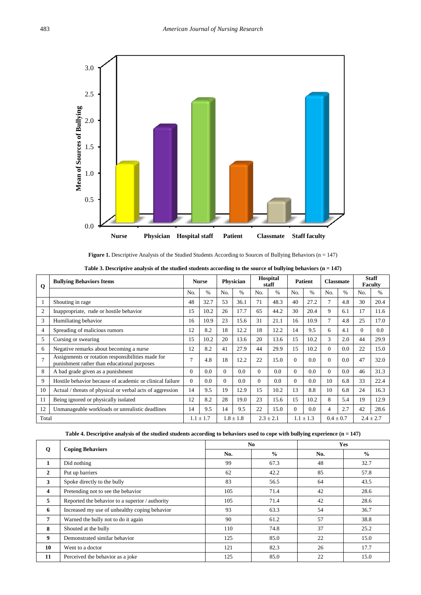<span id="page-4-1"></span>

|  |  |  |  | <b>Figure 1.</b> Descriptive Analysis of the Studied Students According to Sources of Bullying Behaviors ( $n = 147$ ) |  |  |
|--|--|--|--|------------------------------------------------------------------------------------------------------------------------|--|--|
|--|--|--|--|------------------------------------------------------------------------------------------------------------------------|--|--|

|  | Table 3. Descriptive analysis of the studied students according to the source of bullying behaviors $(n = 147)$ |  |
|--|-----------------------------------------------------------------------------------------------------------------|--|
|  |                                                                                                                 |  |

<span id="page-4-0"></span>

| Q              | <b>Bullying Behaviors Items</b>                                                                  | <b>Nurse</b> |               | Physician |               | Hospital<br>staff |               | <b>Patient</b> |               | <b>Classmate</b> |               | <b>Staff</b><br><b>Faculty</b> |               |
|----------------|--------------------------------------------------------------------------------------------------|--------------|---------------|-----------|---------------|-------------------|---------------|----------------|---------------|------------------|---------------|--------------------------------|---------------|
|                |                                                                                                  | No.          | $\frac{0}{0}$ | No.       | $\frac{0}{0}$ | No.               | $\%$          | No.            | $\frac{0}{0}$ | No.              | $\frac{0}{0}$ | No.                            | $\%$          |
|                | Shouting in rage                                                                                 | 48           | 32.7          | 53        | 36.1          | 71                | 48.3          | 40             | 27.2          | 7                | 4.8           | 30                             | 20.4          |
| $\overline{c}$ | Inappropriate, rude or hostile behavior                                                          | 15           | 10.2          | 26        | 17.7          | 65                | 44.2          | 30             | 20.4          | 9                | 6.1           | 17                             | 11.6          |
| 3              | Humiliating behavior                                                                             | 16           | 10.9          | 23        | 15.6          | 31                | 21.1          | 16             | 10.9          | $\tau$           | 4.8           | 25                             | 17.0          |
| 4              | Spreading of malicious rumors                                                                    | 12           | 8.2           | 18        | 12.2          | 18                | 12.2          | 14             | 9.5           | 6                | 4.1           | 0                              | 0.0           |
| 5              | Cursing or swearing                                                                              | 15           | 10.2          | 20        | 13.6          | 20                | 13.6          | 15             | 10.2          | 3                | 2.0           | 44                             | 29.9          |
| 6              | Negative remarks about becoming a nurse                                                          | 12           | 8.2           | 41        | 27.9          | 44                | 29.9          | 15             | 10.2          | 0                | 0.0           | 22                             | 15.0          |
| $\overline{7}$ | Assignments or rotation responsibilities made for<br>punishment rather than educational purposes |              | 4.8           | 18        | 12.2          | 22                | 15.0          | $\Omega$       | 0.0           | $\Omega$         | 0.0           | 47                             | 32.0          |
| 8              | A bad grade given as a punishment                                                                | $\Omega$     | 0.0           | $\Omega$  | 0.0           | $\Omega$          | 0.0           | $\Omega$       | 0.0           | $\Omega$         | 0.0           | 46                             | 31.3          |
| 9              | Hostile behavior because of academic or clinical failure                                         | $\Omega$     | 0.0           | $\Omega$  | 0.0           | $\Omega$          | 0.0           | $\Omega$       | 0.0           | 10               | 6.8           | 33                             | 22.4          |
| 10             | Actual / threats of physical or verbal acts of aggression                                        | 14           | 9.5           | 19        | 12.9          | 15                | 10.2          | 13             | 8.8           | 10               | 6.8           | 24                             | 16.3          |
| 11             | Being ignored or physically isolated                                                             | 12           | 8.2           | 28        | 19.0          | 23                | 15.6          | 15             | 10.2          | 8                | 5.4           | 19                             | 12.9          |
| 12             | Unmanageable workloads or unrealistic deadlines                                                  | 14           | 9.5           | 14        | 9.5           | 22                | 15.0          | $\theta$       | 0.0           | 4                | 2.7           | 42                             | 28.6          |
| Total          |                                                                                                  |              | $1.1 \pm 1.7$ |           | $1.8 \pm 1.8$ |                   | $2.3 \pm 2.1$ |                | $1.1 \pm 1.3$ | $0.4 \pm 0.7$    |               |                                | $2.4 \pm 2.7$ |

**Table 4. Descriptive analysis of the studied students according to behaviors used to cope with bullying experience (n = 147)**

<span id="page-4-2"></span>

|                | <b>Coping Behaviors</b>                         |     | N <sub>0</sub> | <b>Yes</b> |               |  |
|----------------|-------------------------------------------------|-----|----------------|------------|---------------|--|
| Q              |                                                 | No. | $\frac{0}{0}$  | No.        | $\frac{0}{0}$ |  |
| 1              | Did nothing                                     | 99  | 67.3           | 48         | 32.7          |  |
| $\overline{2}$ | Put up barriers                                 | 62  | 42.2           | 85         | 57.8          |  |
| 3              | Spoke directly to the bully                     | 83  | 56.5           | 64         | 43.5          |  |
| 4              | Pretending not to see the behavior              | 105 | 71.4           | 42         | 28.6          |  |
| 5              | Reported the behavior to a superior / authority | 105 | 71.4           | 42         | 28.6          |  |
| 6              | Increased my use of unhealthy coping behavior   | 93  | 63.3           | 54         | 36.7          |  |
| 7              | Warned the bully not to do it again             | 90  | 61.2           | 57         | 38.8          |  |
| 8              | Shouted at the bully                            | 110 | 74.8           | 37         | 25.2          |  |
| 9              | Demonstrated similar behavior                   | 125 | 85.0           | 22         | 15.0          |  |
| 10             | Went to a doctor                                | 121 | 82.3           | 26         | 17.7          |  |
| 11             | Perceived the behavior as a joke                | 125 | 85.0           | 22         | 15.0          |  |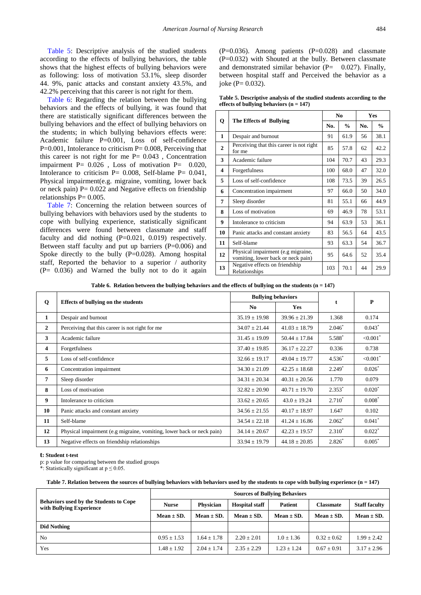[Table 5:](#page-5-0) Descriptive analysis of the studied students according to the effects of bullying behaviors, the table shows that the highest effects of bullying behaviors were as following: loss of motivation 53.1%, sleep disorder 44. 9%, panic attacks and constant anxiety 43.5%, and 42.2% perceiving that this career is not right for them.

[Table 6:](#page-5-1) Regarding the relation between the bullying behaviors and the effects of bullying, it was found that there are statistically significant differences between the bullying behaviors and the effect of bullying behaviors on the students; in which bullying behaviors effects were: Academic failure P=0.001, Loss of self-confidence  $P=0.001$ , Intolerance to criticism  $P= 0.008$ , Perceiving that this career is not right for me  $P = 0.043$ , Concentration impairment P= 0.026 , Loss of motivation P= 0.020, Intolerance to criticism  $P = 0.008$ , Self-blame  $P = 0.041$ , Physical impairment(e.g. migraine, vomiting, lower back or neck pain)  $P = 0.022$  and Negative effects on friendship relationships  $P = 0.005$ .

[Table 7:](#page-5-2) Concerning the relation between sources of bullying behaviors with behaviors used by the students to cope with bullying experience, statistically significant differences were found between classmate and staff faculty and did nothing (P=0.021, 0.019) respectively. Between staff faculty and put up barriers  $(P=0.006)$  and Spoke directly to the bully (P=0.028). Among hospital staff, Reported the behavior to a superior / authority (P= 0.036) and Warned the bully not to do it again  $(P=0.036)$ . Among patients  $(P=0.028)$  and classmate  $(P=0.032)$  with Shouted at the bully. Between classmate and demonstrated similar behavior  $(P= 0.027)$ . Finally, between hospital staff and Perceived the behavior as a joke ( $P = 0.032$ ).

**Table 5. Descriptive analysis of the studied students according to the effects of bullying behaviors (n = 147)**

<span id="page-5-0"></span>

|                |                                                                          |     | N <sub>0</sub> | Yes |               |  |
|----------------|--------------------------------------------------------------------------|-----|----------------|-----|---------------|--|
| Q              | The Effects of Bullying                                                  | No. | $\frac{0}{0}$  | No. | $\frac{6}{6}$ |  |
| 1              | Despair and burnout                                                      | 91  | 61.9           | 56  | 38.1          |  |
| $\overline{2}$ | Perceiving that this career is not right<br>for me                       | 85  | 57.8           | 62  | 42.2          |  |
| 3              | Academic failure                                                         | 104 | 70.7           | 43  | 29.3          |  |
| 4              | Forgetfulness                                                            | 100 | 68.0           | 47  | 32.0          |  |
| 5              | Loss of self-confidence                                                  | 108 | 73.5           | 39  | 26.5          |  |
| 6              | Concentration impairment                                                 | 97  | 66.0           | 50  | 34.0          |  |
| 7              | Sleep disorder                                                           | 81  | 55.1           | 66  | 44.9          |  |
| 8              | Loss of motivation                                                       | 69  | 46.9           | 78  | 53.1          |  |
| 9              | Intolerance to criticism                                                 | 94  | 63.9           | 53  | 36.1          |  |
| 10             | Panic attacks and constant anxiety                                       | 83  | 56.5           | 64  | 43.5          |  |
| 11             | Self-blame                                                               | 93  | 63.3           | 54  | 36.7          |  |
| 12             | Physical impairment (e.g migraine,<br>vomiting, lower back or neck pain) | 95  | 64.6           | 52  | 35.4          |  |
| 13             | Negative effects on friendship<br>Relationships                          | 103 | 70.1           | 44  | 29.9          |  |

**Table 6. Relation between the bullying behaviors and the effects of bullying on the students (n = 147)**

<span id="page-5-1"></span>

|              |                                                                       | <b>Bullying behaviors</b> |                   |           | P                      |  |
|--------------|-----------------------------------------------------------------------|---------------------------|-------------------|-----------|------------------------|--|
| Q            | Effects of bullying on the students                                   | No.                       | Yes               | t         |                        |  |
| $\mathbf{1}$ | Despair and burnout                                                   | $35.19 \pm 19.98$         | $39.96 \pm 21.39$ | 1.368     | 0.174                  |  |
| $\mathbf{2}$ | Perceiving that this career is not right for me                       | $34.07 \pm 21.44$         | $41.03 \pm 18.79$ | $2.046^*$ | 0.043                  |  |
| 3            | Academic failure                                                      | $31.45 \pm 19.09$         | $50.44 \pm 17.84$ | $5.588*$  | $< 0.001$ <sup>*</sup> |  |
| 4            | Forgetfulness                                                         | $37.40 \pm 19.85$         | $36.17 \pm 22.27$ | 0.336     | 0.738                  |  |
| 5            | Loss of self-confidence                                               | $32.66 \pm 19.17$         | $49.04 \pm 19.77$ | $4.536*$  | $< 0.001$ <sup>*</sup> |  |
| 6            | Concentration impairment                                              | $34.30 \pm 21.09$         | $42.25 \pm 18.68$ | $2.249*$  | $0.026*$               |  |
| 7            | Sleep disorder                                                        | $34.31 \pm 20.34$         | $40.31 \pm 20.56$ | 1.770     | 0.079                  |  |
| 8            | Loss of motivation                                                    | $32.82 \pm 20.90$         | $40.71 \pm 19.70$ | $2.353*$  | $0.020*$               |  |
| 9            | Intolerance to criticism                                              | $33.62 \pm 20.65$         | $43.0 \pm 19.24$  | $2.710*$  | $0.008*$               |  |
| 10           | Panic attacks and constant anxiety                                    | $34.56 \pm 21.55$         | $40.17 \pm 18.97$ | 1.647     | 0.102                  |  |
| 11           | Self-blame                                                            | $34.54 \pm 22.18$         | $41.24 \pm 16.86$ | $2.062*$  | $0.041$ <sup>*</sup>   |  |
| 12           | Physical impairment (e.g migraine, vomiting, lower back or neck pain) | $34.14 \pm 20.67$         | $42.23 \pm 19.57$ | $2.310^*$ | $0.022$ <sup>*</sup>   |  |
| 13           | Negative effects on friendship relationships                          | $33.94 \pm 19.79$         | $44.18 \pm 20.85$ | $2.826*$  | $0.005*$               |  |

#### **t: Student t-test**

p: p value for comparing between the studied groups

\*: Statistically significant at  $p \le 0.05$ .

**Table 7. Relation between the sources of bullying behaviors with behaviors used by the students to cope with bullying experience (n = 147)**

<span id="page-5-2"></span>

|                                                                           | <b>Sources of Bullying Behaviors</b> |                  |                       |                |                |                      |  |  |
|---------------------------------------------------------------------------|--------------------------------------|------------------|-----------------------|----------------|----------------|----------------------|--|--|
| <b>Behaviors used by the Students to Cope</b><br>with Bullying Experience | <b>Nurse</b>                         | <b>Physician</b> | <b>Hospital staff</b> | <b>Patient</b> | Classmate      | <b>Staff faculty</b> |  |  |
|                                                                           | Mean $\pm$ SD.                       | Mean $\pm$ SD.   | Mean $\pm$ SD.        | Mean $\pm$ SD. | Mean $\pm$ SD. | Mean $\pm$ SD.       |  |  |
| <b>Did Nothing</b>                                                        |                                      |                  |                       |                |                |                      |  |  |
| N <sub>0</sub>                                                            | $0.95 + 1.53$                        | $1.64 + 1.78$    | $2.20 + 2.01$         | $1.0 + 1.36$   | $0.32 + 0.62$  | $1.99 + 2.42$        |  |  |
| <b>Yes</b>                                                                | $1.48 \pm 1.92$                      | $2.04 + 1.74$    | $2.35 + 2.29$         | $1.23 + 1.24$  | $0.67 + 0.91$  | $3.17 + 2.96$        |  |  |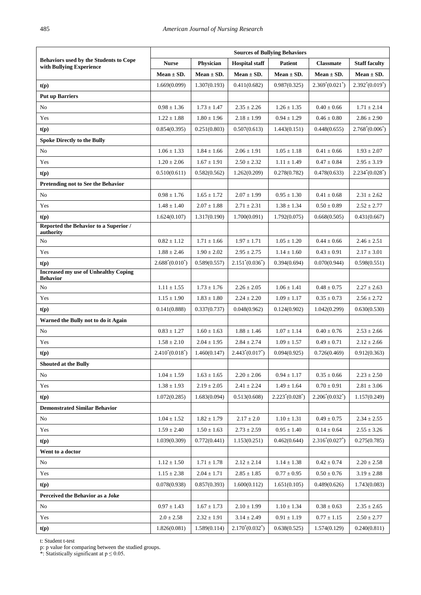|                                                                           | <b>Sources of Bullying Behaviors</b> |                 |                       |                    |                                |                      |  |  |
|---------------------------------------------------------------------------|--------------------------------------|-----------------|-----------------------|--------------------|--------------------------------|----------------------|--|--|
| <b>Behaviors used by the Students to Cope</b><br>with Bullying Experience | <b>Nurse</b>                         | Physician       | <b>Hospital staff</b> | <b>Patient</b>     | <b>Classmate</b>               | <b>Staff faculty</b> |  |  |
|                                                                           | Mean $\pm$ SD.                       | $Mean \pm SD.$  | Mean $\pm$ SD.        | Mean $\pm$ SD.     | Mean $\pm$ SD.                 | $Mean \pm SD$ .      |  |  |
| t(p)                                                                      | 1.669(0.099)                         | 1.307(0.193)    | 0.411(0.682)          | 0.987(0.325)       | $2.369^{\circ}(0.021^{\circ})$ | $2.392^*(0.019^*)$   |  |  |
| <b>Put up Barriers</b>                                                    |                                      |                 |                       |                    |                                |                      |  |  |
| No                                                                        | $0.98 \pm 1.36$                      | $1.73 \pm 1.47$ | $2.35 \pm 2.26$       | $1.26 \pm 1.35$    | $0.40 \pm 0.66$                | $1.71 \pm 2.14$      |  |  |
| Yes                                                                       | $1.22 \pm 1.88$                      | $1.80 \pm 1.96$ | $2.18 \pm 1.99$       | $0.94 \pm 1.29$    | $0.46 \pm 0.80$                | $2.86 \pm 2.90$      |  |  |
| t(p)                                                                      | 0.854(0.395)                         | 0.251(0.803)    | 0.507(0.613)          | 1.443(0.151)       | 0.448(0.655)                   | $2.768^*(0.006^*)$   |  |  |
| <b>Spoke Directly to the Bully</b>                                        |                                      |                 |                       |                    |                                |                      |  |  |
| No                                                                        | $1.06 \pm 1.33$                      | $1.84 \pm 1.66$ | $2.06 \pm 1.91$       | $1.05 \pm 1.18$    | $0.41 \pm 0.66$                | $1.93 \pm 2.07$      |  |  |
| Yes                                                                       | $1.20 \pm 2.06$                      | $1.67 \pm 1.91$ | $2.50 \pm 2.32$       | $1.11 \pm 1.49$    | $0.47 \pm 0.84$                | $2.95 \pm 3.19$      |  |  |
| t(p)                                                                      | 0.510(0.611)                         | 0.582(0.562)    | 1.262(0.209)          | 0.278(0.782)       | 0.478(0.633)                   | $2.234^*(0.028^*)$   |  |  |
| Pretending not to See the Behavior                                        |                                      |                 |                       |                    |                                |                      |  |  |
| No                                                                        | $0.98 \pm 1.76$                      | $1.65 \pm 1.72$ | $2.07 \pm 1.99$       | $0.95 \pm 1.30$    | $0.41 \pm 0.68$                | $2.31 \pm 2.62$      |  |  |
| Yes                                                                       | $1.48 \pm 1.40$                      | $2.07 \pm 1.88$ | $2.71 \pm 2.31$       | $1.38 \pm 1.34$    | $0.50 \pm 0.89$                | $2.52 \pm 2.77$      |  |  |
| t(p)                                                                      | 1.624(0.107)                         | 1.317(0.190)    | 1.700(0.091)          | 1.792(0.075)       | 0.668(0.505)                   | 0.431(0.667)         |  |  |
| Reported the Behavior to a Superior /<br>authority                        |                                      |                 |                       |                    |                                |                      |  |  |
| ${\rm No}$                                                                | $0.82 \pm 1.12$                      | $1.71 \pm 1.66$ | $1.97 \pm 1.71$       | $1.05 \pm 1.20$    | $0.44 \pm 0.66$                | $2.46 \pm 2.51$      |  |  |
| Yes                                                                       | $1.88 \pm 2.46$                      | $1.90 \pm 2.02$ | $2.95 \pm 2.75$       | $1.14 \pm 1.60$    | $0.43 \pm 0.91$                | $2.17 \pm 3.01$      |  |  |
| t(p)                                                                      | $2.688^*(0.010^*)$                   | 0.589(0.557)    | $2.151^*(0.036^*)$    | 0.394(0.694)       | 0.070(0.944)                   | 0.598(0.551)         |  |  |
| <b>Increased my use of Unhealthy Coping</b><br><b>Behavior</b>            |                                      |                 |                       |                    |                                |                      |  |  |
| No                                                                        | $1.11 \pm 1.55$                      | $1.73 \pm 1.76$ | $2.26 \pm 2.05$       | $1.06 \pm 1.41$    | $0.48 \pm 0.75$                | $2.27 \pm 2.63$      |  |  |
| Yes                                                                       | $1.15 \pm 1.90$                      | $1.83 \pm 1.80$ | $2.24 \pm 2.20$       | $1.09 \pm 1.17$    | $0.35 \pm 0.73$                | $2.56 \pm 2.72$      |  |  |
| t(p)                                                                      | 0.141(0.888)                         | 0.337(0.737)    | 0.048(0.962)          | 0.124(0.902)       | 1.042(0.299)                   | 0.630(0.530)         |  |  |
| Warned the Bully not to do it Again                                       |                                      |                 |                       |                    |                                |                      |  |  |
| No                                                                        | $0.83 \pm 1.27$                      | $1.60 \pm 1.63$ | $1.88 \pm 1.46$       | $1.07 \pm 1.14$    | $0.40 \pm 0.76$                | $2.53 \pm 2.66$      |  |  |
| Yes                                                                       | $1.58 \pm 2.10$                      | $2.04 \pm 1.95$ | $2.84 \pm 2.74$       | $1.09 \pm 1.57$    | $0.49 \pm 0.71$                | $2.12 \pm 2.66$      |  |  |
| t(p)                                                                      | $2.410^*(0.018^*)$                   | 1.460(0.147)    | $2.443^*(0.017^*)$    | 0.094(0.925)       | 0.726(0.469)                   | 0.912(0.363)         |  |  |
| <b>Shouted at the Bully</b>                                               |                                      |                 |                       |                    |                                |                      |  |  |
| No                                                                        | $1.04 \pm 1.59$                      | $1.63 \pm 1.65$ | $2.20 \pm 2.06$       | $0.94 \pm 1.17$    | $0.35 \pm 0.66$                | $2.23 \pm 2.50$      |  |  |
| Yes                                                                       | $1.38 \pm 1.93$                      | $2.19 \pm 2.05$ | $2.41 \pm 2.24$       | $1.49 \pm 1.64$    | $0.70 \pm 0.91$                | $2.81\pm3.06$        |  |  |
| t(p)                                                                      | 1.072(0.285)                         | 1.683(0.094)    | 0.513(0.608)          | $2.223^*(0.028^*)$ | $2.206^*(0.032^*)$             | 1.157(0.249)         |  |  |
| <b>Demonstrated Similar Behavior</b>                                      |                                      |                 |                       |                    |                                |                      |  |  |
| No                                                                        | $1.04 \pm 1.52$                      | $1.82 \pm 1.79$ | $2.17 \pm 2.0$        | $1.10 \pm 1.31$    | $0.49 \pm 0.75$                | $2.34\pm2.55$        |  |  |
| Yes                                                                       | $1.59 \pm 2.40$                      | $1.50 \pm 1.63$ | $2.73 \pm 2.59$       | $0.95\pm1.40$      | $0.14 \pm 0.64$                | $2.55 \pm 3.26$      |  |  |
| t(p)                                                                      | 1.039(0.309)                         | 0.772(0.441)    | 1.153(0.251)          | 0.462(0.644)       | $2.316^*(0.027^*)$             | 0.275(0.785)         |  |  |
| Went to a doctor                                                          |                                      |                 |                       |                    |                                |                      |  |  |
| No                                                                        | $1.12 \pm 1.50$                      | $1.71 \pm 1.78$ | $2.12 \pm 2.14$       | $1.14 \pm 1.38$    | $0.42 \pm 0.74$                | $2.20 \pm 2.58$      |  |  |
| Yes                                                                       | $1.15 \pm 2.38$                      | $2.04 \pm 1.71$ | $2.85 \pm 1.85$       | $0.77 \pm 0.95$    | $0.50 \pm 0.76$                | $3.19\pm2.88$        |  |  |
| t(p)                                                                      | 0.078(0.938)                         | 0.857(0.393)    | 1.600(0.112)          | 1.651(0.105)       | 0.489(0.626)                   | 1.743(0.083)         |  |  |
| Perceived the Behavior as a Joke                                          |                                      |                 |                       |                    |                                |                      |  |  |
| No                                                                        | $0.97 \pm 1.43$                      | $1.67 \pm 1.73$ | $2.10 \pm 1.99$       | $1.10 \pm 1.34$    | $0.38 \pm 0.63$                | $2.35\pm2.65$        |  |  |
| Yes                                                                       | $2.0 \pm 2.58$                       | $2.32 \pm 1.91$ | $3.14 \pm 2.49$       | $0.91\pm1.19$      | $0.77 \pm 1.15$                | $2.50 \pm 2.77$      |  |  |
| t(p)                                                                      | 1.826(0.081)                         | 1.589(0.114)    | $2.170^*(0.032^*)$    | 0.638(0.525)       | 1.574(0.129)                   | 0.240(0.811)         |  |  |

t: Student t-test

p: p value for comparing between the studied groups.

\*: Statistically significant at  $p \le 0.05$ .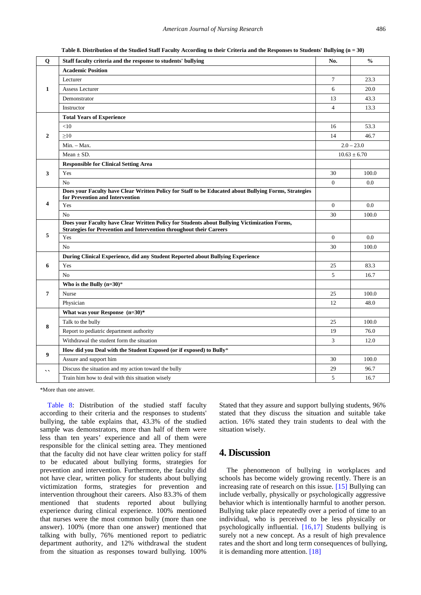**Table 8. Distribution of the Studied Staff Faculty According to their Criteria and the Responses to Students' Bullying (n = 30)**

<span id="page-7-0"></span>

| Q                        | Staff faculty criteria and the response to students' bullying                                                                                                              | No.            | $\frac{0}{0}$    |
|--------------------------|----------------------------------------------------------------------------------------------------------------------------------------------------------------------------|----------------|------------------|
| 1                        | <b>Academic Position</b>                                                                                                                                                   |                |                  |
|                          | Lecturer                                                                                                                                                                   | $\tau$         | 23.3             |
|                          | Assess Lecturer                                                                                                                                                            | 6              | 20.0             |
|                          | Demonstrator                                                                                                                                                               | 13             | 43.3             |
|                          | Instructor                                                                                                                                                                 | $\overline{4}$ | 13.3             |
| $\mathbf{2}$             | <b>Total Years of Experience</b>                                                                                                                                           |                |                  |
|                          | $<$ 10                                                                                                                                                                     | 16             | 53.3             |
|                          | $\geq 10$                                                                                                                                                                  | 14             | 46.7             |
|                          | $Min. - Max.$                                                                                                                                                              | $2.0 - 23.0$   |                  |
|                          | Mean $\pm$ SD.                                                                                                                                                             |                | $10.63 \pm 6.70$ |
| 3                        | <b>Responsible for Clinical Setting Area</b>                                                                                                                               |                |                  |
|                          | Yes                                                                                                                                                                        | 30             | 100.0            |
|                          | N <sub>o</sub>                                                                                                                                                             | $\overline{0}$ | 0.0              |
| 4                        | Does your Faculty have Clear Written Policy for Staff to be Educated about Bullying Forms, Strategies<br>for Prevention and Intervention                                   |                |                  |
|                          | Yes                                                                                                                                                                        | $\overline{0}$ | 0.0              |
|                          | N <sub>o</sub>                                                                                                                                                             | 30             | 100.0            |
| 5                        | Does your Faculty have Clear Written Policy for Students about Bullying Victimization Forms,<br><b>Strategies for Prevention and Intervention throughout their Careers</b> |                |                  |
|                          | Yes                                                                                                                                                                        | $\mathbf{0}$   | 0.0              |
|                          | No                                                                                                                                                                         | 30             | 100.0            |
| 6                        | During Clinical Experience, did any Student Reported about Bullying Experience                                                                                             |                |                  |
|                          | Yes                                                                                                                                                                        | 25             | 83.3             |
|                          | N <sub>o</sub>                                                                                                                                                             | 5              | 16.7             |
| 7                        | Who is the Bully $(n=30)*$                                                                                                                                                 |                |                  |
|                          | Nurse                                                                                                                                                                      | 25             | 100.0            |
|                          | Physician                                                                                                                                                                  | 12             | 48.0             |
| 8                        | What was your Response $(n=30)*$                                                                                                                                           |                |                  |
|                          | Talk to the bully                                                                                                                                                          | 25             | 100.0            |
|                          | Report to pediatric department authority                                                                                                                                   | 19             | 76.0             |
|                          | Withdrawal the student form the situation                                                                                                                                  | 3              | 12.0             |
| 9                        | How did you Deal with the Student Exposed (or if exposed) to Bully*                                                                                                        |                |                  |
|                          | Assure and support him                                                                                                                                                     | 30             | 100.0            |
| $\overline{\phantom{a}}$ | Discuss the situation and my action toward the bully                                                                                                                       | 29             | 96.7             |
|                          | Train him how to deal with this situation wisely                                                                                                                           | 5              | 16.7             |
|                          |                                                                                                                                                                            |                |                  |

\*More than one answer.

[Table 8:](#page-7-0) Distribution of the studied staff faculty according to their criteria and the responses to students' bullying, the table explains that, 43.3% of the studied sample was demonstrators, more than half of them were less than ten years' experience and all of them were responsible for the clinical setting area. They mentioned that the faculty did not have clear written policy for staff to be educated about bullying forms, strategies for prevention and intervention. Furthermore, the faculty did not have clear, written policy for students about bullying victimization forms, strategies for prevention and intervention throughout their careers. Also 83.3% of them mentioned that students reported about bullying experience during clinical experience. 100% mentioned that nurses were the most common bully (more than one answer). 100% (more than one answer) mentioned that talking with bully, 76% mentioned report to pediatric department authority, and 12% withdrawal the student from the situation as responses toward bullying. 100%

Stated that they assure and support bullying students, 96% stated that they discuss the situation and suitable take action. 16% stated they train students to deal with the situation wisely.

# **4. Discussion**

The phenomenon of bullying in workplaces and schools has become widely growing recently. There is an increasing rate of research on this issue. [\[15\]](#page-10-6) Bullying can include verbally, physically or psychologically aggressive behavior which is intentionally harmful to another person. Bullying take place repeatedly over a period of time to an individual, who is perceived to be less physically or psychologically influential. [\[16,17\]](#page-10-7) Students bullying is surely not a new concept. As a result of high prevalence rates and the short and long term consequences of bullying, it is demanding more attention. [\[18\]](#page-10-8)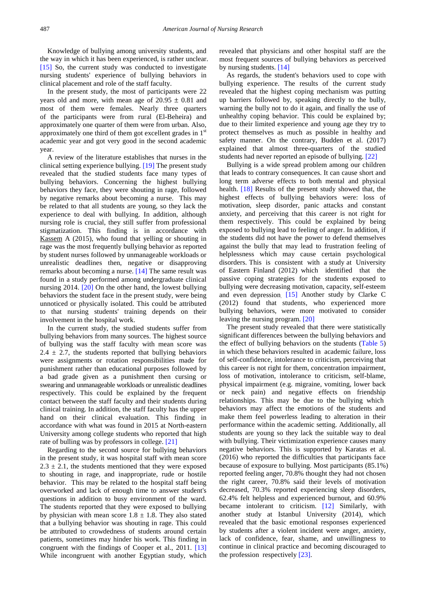Knowledge of bullying among university students, and the way in which it has been experienced, is rather unclear. [\[15\]](#page-10-6) So, the current study was conducted to investigate nursing students' experience of bullying behaviors in clinical placement and role of the staff faculty.

In the present study, the most of participants were 22 years old and more, with mean age of  $20.95 \pm 0.81$  and most of them were females. Nearly three quarters of the participants were from rural (El-Beheira) and approximately one quarter of them were from urban. Also, approximately one third of them got excellent grades in  $1<sup>st</sup>$ academic year and got very good in the second academic year.

A review of the literature establishes that nurses in the clinical setting experience bullying. [19] The present study revealed that the studied students face many types of bullying behaviors. Concerning the highest bullying behaviors they face, they were shouting in rage, followed by negative remarks about becoming a nurse. This may be related to that all students are young, so they lack the experience to deal with bullying. In addition, although nursing role is crucial, they still suffer from professional stigmatization. This finding is in accordance with Kassem A (2015), who found that yelling or shouting in rage was the most frequently bullying behavior as reported by student nurses followed by unmanageable workloads or unrealistic deadlines then, negative or disapproving remarks about becoming a nurse[. \[14\]](#page-10-9) The same result was found in a study performed among undergraduate clinical nursing 2014. [20] On the other hand, the lowest bullying behaviors the student face in the present study, were being unnoticed or physically isolated. This could be attributed to that nursing students' training depends on their involvement in the hospital work.

In the current study, the studied students suffer from bullying behaviors from many sources. The highest source of bullying was the staff faculty with mean score was  $2.4 \pm 2.7$ , the students reported that bullying behaviors were assignments or rotation responsibilities made for punishment rather than educational purposes followed by a bad grade given as a punishment then cursing or swearing and unmanageable workloads or unrealistic deadlines respectively. This could be explained by the frequent contact between the staff faculty and their students during clinical training. In addition, the staff faculty has the upper hand on their clinical evaluation. This finding in accordance with what was found in 2015 at North-eastern University among college students who reported that high rate of bulling was by professors in college. [21]

Regarding to the second source for bullying behaviors in the present study, it was hospital staff with mean score  $2.3 \pm 2.1$ , the students mentioned that they were exposed to shouting in rage, and inappropriate, rude or hostile behavior. This may be related to the hospital staff being overworked and lack of enough time to answer student's questions in addition to busy environment of the ward. The students reported that they were exposed to bullying by physician with mean score  $1.8 \pm 1.8$ . They also stated that a bullying behavior was shouting in rage. This could be attributed to crowdedness of students around certain patients, sometimes may hinder his work. This finding in congruent with the findings of Cooper et al., 2011. [\[13\]](#page-10-10) While incongruent with another Egyptian study, which revealed that physicians and other hospital staff are the most frequent sources of bullying behaviors as perceived by nursing students. [\[14\]](#page-10-9)

As regards, the student's behaviors used to cope with bullying experience. The results of the current study revealed that the highest coping mechanism was putting up barriers followed by, speaking directly to the bully, warning the bully not to do it again, and finally the use of unhealthy coping behavior. This could be explained by; due to their limited experience and young age they try to protect themselves as much as possible in healthy and safety manner. On the contrary, Budden et al. (2017) explained that almost three-quarters of the studied students had never reported an episode of bullying. [22]

Bullying is a wide spread problem among our children that leads to contrary consequences. It can cause short and long term adverse effects to both mental and physical health. [\[18\]](#page-10-8) Results of the present study showed that, the highest effects of bullying behaviors were: loss of motivation, sleep disorder, panic attacks and constant anxiety, and perceiving that this career is not right for them respectively. This could be explained by being exposed to bullying lead to feeling of anger. In addition, if the students did not have the power to defend themselves against the bully that may lead to frustration feeling of helplessness which may cause certain psychological disorders. This is consistent with a study at University of Eastern Finland (2012) which identified that the passive coping strategies for the students exposed to bullying were decreasing motivation, capacity, self-esteem and even depression. [\[15\]](#page-10-6) Another study by Clarke C (2012) found that students, who experienced more bullying behaviors, were more motivated to consider leaving the nursing program. [20]

The present study revealed that there were statistically significant differences between the bullying behaviors and the effect of bullying behaviors on the students [\(Table 5\)](#page-5-0) in which these behaviors resulted in academic failure, loss of self-confidence, intolerance to criticism, perceiving that this career is not right for them, concentration impairment, loss of motivation, intolerance to criticism, self-blame, physical impairment (e.g. migraine, vomiting, lower back or neck pain) and negative effects on friendship relationships. This may be due to the bullying which behaviors may affect the emotions of the students and make them feel powerless leading to alteration in their performance within the academic setting. Additionally, all students are young so they lack the suitable way to deal with bullying. Their victimization experience causes many negative behaviors. This is supported by Karatas et al. (2016) who reported the difficulties that participants face because of exposure to bullying. Most participants (85.1%) reported feeling anger, 70.8% thought they had not chosen the right career, 70.8% said their levels of motivation decreased, 70.3% reported experiencing sleep disorders, 62.4% felt helpless and experienced burnout, and 60.9% became intolerant to criticism. [\[12\]](#page-10-5) Similarly, with another study at Istanbul University (2014), which revealed that the basic emotional responses experienced by students after a violent incident were anger, anxiety, lack of confidence, fear, shame, and unwillingness to continue in clinical practice and becoming discouraged to the profession respectively [23].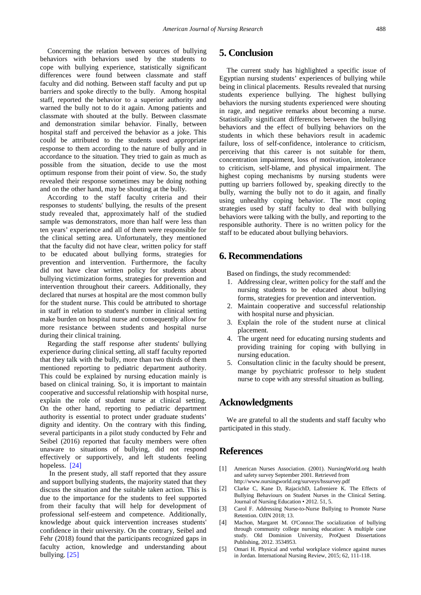Concerning the relation between sources of bullying behaviors with behaviors used by the students to cope with bullying experience, statistically significant differences were found between classmate and staff faculty and did nothing. Between staff faculty and put up barriers and spoke directly to the bully. Among hospital staff, reported the behavior to a superior authority and warned the bully not to do it again. Among patients and classmate with shouted at the bully. Between classmate and demonstration similar behavior. Finally, between hospital staff and perceived the behavior as a joke. This could be attributed to the students used appropriate response to them according to the nature of bully and in accordance to the situation. They tried to gain as much as possible from the situation, decide to use the most optimum response from their point of view. So, the study revealed their response sometimes may be doing nothing and on the other hand, may be shouting at the bully.

According to the staff faculty criteria and their responses to students' bullying, the results of the present study revealed that, approximately half of the studied sample was demonstrators, more than half were less than ten years' experience and all of them were responsible for the clinical setting area. Unfortunately, they mentioned that the faculty did not have clear, written policy for staff to be educated about bullying forms, strategies for prevention and intervention. Furthermore, the faculty did not have clear written policy for students about bullying victimization forms, strategies for prevention and intervention throughout their careers. Additionally, they declared that nurses at hospital are the most common bully for the student nurse. This could be attributed to shortage in staff in relation to student's number in clinical setting make burden on hospital nurse and consequently allow for more resistance between students and hospital nurse during their clinical training.

Regarding the staff response after students' bullying experience during clinical setting, all staff faculty reported that they talk with the bully, more than two thirds of them mentioned reporting to pediatric department authority. This could be explained by nursing education mainly is based on clinical training. So, it is important to maintain cooperative and successful relationship with hospital nurse, explain the role of student nurse at clinical setting. On the other hand, reporting to pediatric department authority is essential to protect under graduate students' dignity and identity. On the contrary with this finding, several participants in a pilot study conducted by Fehr and Seibel (2016) reported that faculty members were often unaware to situations of bullying, did not respond effectively or supportively, and left students feeling hopeless. [24]

In the present study, all staff reported that they assure and support bullying students, the majority stated that they discuss the situation and the suitable taken action. This is due to the importance for the students to feel supported from their faculty that will help for development of professional self-esteem and competence. Additionally, knowledge about quick intervention increases students' confidence in their university. On the contrary, Seibel and Fehr (2018) found that the participants recognized gaps in faculty action, knowledge and understanding about bullying. [25]

# **5. Conclusion**

The current study has highlighted a specific issue of Egyptian nursing students' experiences of bullying while being in clinical placements. Results revealed that nursing students experience bullying. The highest bullying behaviors the nursing students experienced were shouting in rage, and negative remarks about becoming a nurse. Statistically significant differences between the bullying behaviors and the effect of bullying behaviors on the students in which these behaviors result in academic failure, loss of self-confidence, intolerance to criticism, perceiving that this career is not suitable for them, concentration impairment, loss of motivation, intolerance to criticism, self-blame, and physical impairment. The highest coping mechanisms by nursing students were putting up barriers followed by, speaking directly to the bully, warning the bully not to do it again, and finally using unhealthy coping behavior. The most coping strategies used by staff faculty to deal with bullying behaviors were talking with the bully, and reporting to the responsible authority. There is no written policy for the staff to be educated about bullying behaviors.

# **6. Recommendations**

Based on findings, the study recommended:

- 1. Addressing clear, written policy for the staff and the nursing students to be educated about bullying forms, strategies for prevention and intervention.
- 2. Maintain cooperative and successful relationship with hospital nurse and physician.
- 3. Explain the role of the student nurse at clinical placement.
- 4. The urgent need for educating nursing students and providing training for coping with bullying in nursing education.
- 5. Consultation clinic in the faculty should be present, mange by psychiatric professor to help student nurse to cope with any stressful situation as bulling.

# **Acknowledgments**

We are grateful to all the students and staff faculty who participated in this study.

# **References**

- <span id="page-9-0"></span>[1] American Nurses Association. (2001). NursingWorld.org health and safety survey September 2001. Retrieved from http://www.nursingworld.org/surveys/hssurvey.pdf
- <span id="page-9-1"></span>[2] Clarke C, Kane D, RajacichD, Lafreniere K. The Effects of Bullying Behaviours on Student Nurses in the Clinical Setting. Journal of Nursing Education • 2012. 51, 5.
- <span id="page-9-2"></span>[3] Carol F. Addressing Nurse-to-Nurse Bullying to Promote Nurse Retention. OJIN 2018; 13.
- <span id="page-9-3"></span>[4] Machon, Margaret M. O'Connor.The socialization of bullying through community college nursing education: A multiple case study. Old Dominion University, ProQuest Dissertations Publishing, 2012. 3534953.
- [5] Omari H. Physical and verbal workplace violence against nurses in Jordan. International Nursing Review, 2015; 62, 111-118.